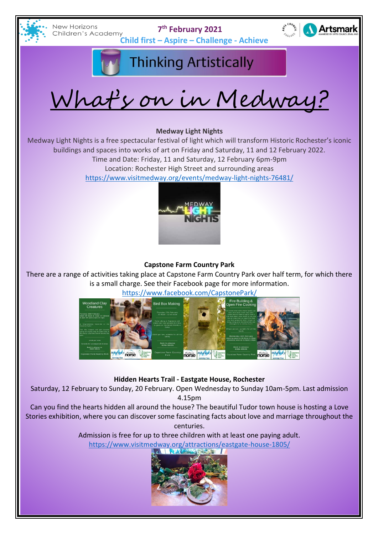

**New Horizons** Children's Academy

**7 th February 2021**



**Child first – Aspire – Challenge - Achieve** 



What's on in Medway?

## **Medway Light Nights**

Medway Light Nights is a free spectacular festival of light which will transform Historic Rochester's iconic buildings and spaces into works of art on Friday and Saturday, 11 and 12 February 2022.

Time and Date: Friday, 11 and Saturday, 12 February 6pm-9pm

Location: Rochester High Street and surrounding areas

<https://www.visitmedway.org/events/medway-light-nights-76481/>



## **Capstone Farm Country Park**

There are a range of activities taking place at Capstone Farm Country Park over half term, for which there is a small charge. See their Facebook page for more information.



## **Hidden Hearts Trail - Eastgate House, Rochester**

Saturday, 12 February to Sunday, 20 February. Open Wednesday to Sunday 10am-5pm. Last admission 4.15pm

Can you find the hearts hidden all around the house? The beautiful Tudor town house is hosting a Love Stories exhibition, where you can discover some fascinating facts about love and marriage throughout the centuries.

Admission is free for up to three children with at least one paying adult.

<https://www.visitmedway.org/attractions/eastgate-house-1805/>